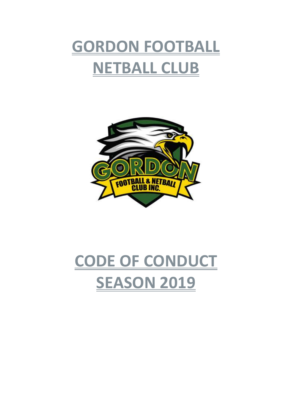



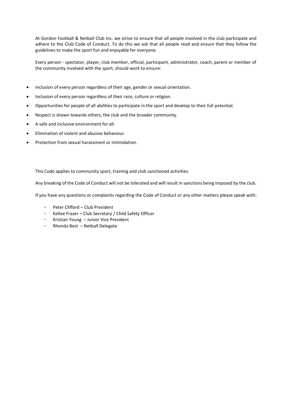At Gordon Football & Netball Club Inc. we strive to ensure that all people involved in the club participate and adhere to the Club Code of Conduct. To do this we ask that all people read and ensure that they follow the guidelines to make the sport fun and enjoyable for everyone.

Every person - spectator, player, club member, official, participant, administrator, coach, parent or member of the community involved with the sport, should work to ensure:

- Inclusion of every person regardless of their age, gender or sexual orientation.
- Inclusion of every person regardless of their race, culture or religion.
- Opportunities for people of all abilities to participate in the sport and develop to their full potential.
- Respect is shown towards others, the club and the broader community.
- A safe and inclusive environment for all.
- Elimination of violent and abusive behaviour.
- Protection from sexual harassment or intimidation.

This Code applies to community sport, training and club sanctioned activities.

Any breaking of the Code of Conduct will not be tolerated and will result in sanctions being imposed by the club.

If you have any questions or complaints regarding the Code of Conduct or any other matters please speak with:

- Peter Clifford Club President
- Kellee Frazer Club Secretary / Child Safety Officer
- Kristian Young Junior Vice President
- Rhonda Best Netball Delegate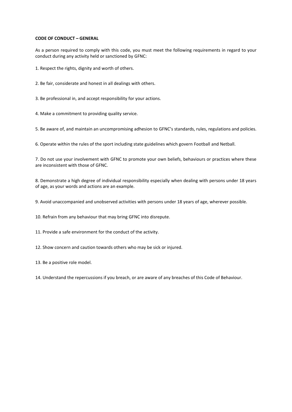# **CODE OF CONDUCT – GENERAL**

As a person required to comply with this code, you must meet the following requirements in regard to your conduct during any activity held or sanctioned by GFNC:

1. Respect the rights, dignity and worth of others.

2. Be fair, considerate and honest in all dealings with others.

3. Be professional in, and accept responsibility for your actions.

4. Make a commitment to providing quality service.

5. Be aware of, and maintain an uncompromising adhesion to GFNC's standards, rules, regulations and policies.

6. Operate within the rules of the sport including state guidelines which govern Football and Netball.

7. Do not use your involvement with GFNC to promote your own beliefs, behaviours or practices where these are inconsistent with those of GFNC.

8. Demonstrate a high degree of individual responsibility especially when dealing with persons under 18 years of age, as your words and actions are an example.

9. Avoid unaccompanied and unobserved activities with persons under 18 years of age, wherever possible.

10. Refrain from any behaviour that may bring GFNC into disrepute.

11. Provide a safe environment for the conduct of the activity.

12. Show concern and caution towards others who may be sick or injured.

13. Be a positive role model.

14. Understand the repercussions if you breach, or are aware of any breaches of this Code of Behaviour.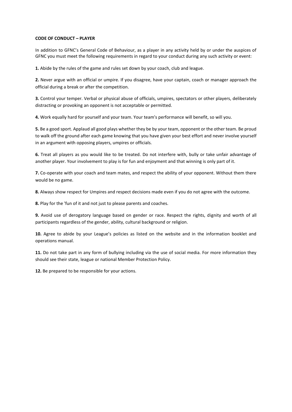# **CODE OF CONDUCT – PLAYER**

In addition to GFNC's General Code of Behaviour, as a player in any activity held by or under the auspices of GFNC you must meet the following requirements in regard to your conduct during any such activity or event:

**1.** Abide by the rules of the game and rules set down by your coach, club and league.

**2.** Never argue with an official or umpire. If you disagree, have your captain, coach or manager approach the official during a break or after the competition.

**3.** Control your temper. Verbal or physical abuse of officials, umpires, spectators or other players, deliberately distracting or provoking an opponent is not acceptable or permitted.

**4.** Work equally hard for yourself and your team. Your team's performance will benefit, so will you.

**5.** Be a good sport. Applaud all good plays whether they be by your team, opponent or the other team. Be proud to walk off the ground after each game knowing that you have given your best effort and never involve yourself in an argument with opposing players, umpires or officials.

**6.** Treat all players as you would like to be treated. Do not interfere with, bully or take unfair advantage of another player. Your involvement to play is for fun and enjoyment and that winning is only part of it.

**7.** Co-operate with your coach and team mates, and respect the ability of your opponent. Without them there would be no game.

**8.** Always show respect for Umpires and respect decisions made even if you do not agree with the outcome.

**8.** Play for the 'fun of it and not just to please parents and coaches.

**9.** Avoid use of derogatory language based on gender or race. Respect the rights, dignity and worth of all participants regardless of the gender, ability, cultural background or religion.

**10.** Agree to abide by your League's policies as listed on the website and in the information booklet and operations manual.

**11.** Do not take part in any form of bullying including via the use of social media. For more information they should see their state, league or national Member Protection Policy.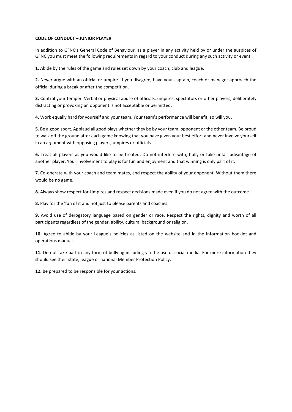# **CODE OF CONDUCT – JUNIOR PLAYER**

In addition to GFNC's General Code of Behaviour, as a player in any activity held by or under the auspices of GFNC you must meet the following requirements in regard to your conduct during any such activity or event:

**1.** Abide by the rules of the game and rules set down by your coach, club and league.

**2.** Never argue with an official or umpire. If you disagree, have your captain, coach or manager approach the official during a break or after the competition.

**3.** Control your temper. Verbal or physical abuse of officials, umpires, spectators or other players, deliberately distracting or provoking an opponent is not acceptable or permitted.

**4.** Work equally hard for yourself and your team. Your team's performance will benefit, so will you.

**5.** Be a good sport. Applaud all good plays whether they be by your team, opponent or the other team. Be proud to walk off the ground after each game knowing that you have given your best effort and never involve yourself in an argument with opposing players, umpires or officials.

**6.** Treat all players as you would like to be treated. Do not interfere with, bully or take unfair advantage of another player. Your involvement to play is for fun and enjoyment and that winning is only part of it.

**7.** Co-operate with your coach and team mates, and respect the ability of your opponent. Without them there would be no game.

**8.** Always show respect for Umpires and respect decisions made even if you do not agree with the outcome.

**8.** Play for the 'fun of it and not just to please parents and coaches.

**9.** Avoid use of derogatory language based on gender or race. Respect the rights, dignity and worth of all participants regardless of the gender, ability, cultural background or religion.

**10.** Agree to abide by your League's policies as listed on the website and in the information booklet and operations manual.

**11.** Do not take part in any form of bullying including via the use of social media. For more information they should see their state, league or national Member Protection Policy.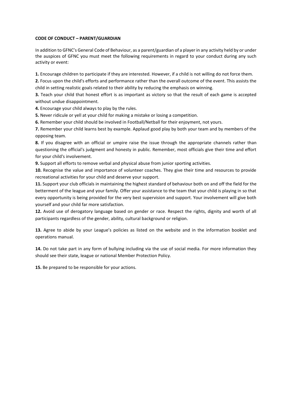# **CODE OF CONDUCT – PARENT/GUARDIAN**

In addition to GFNC's General Code of Behaviour, as a parent/guardian of a player in any activity held by or under the auspices of GFNC you must meet the following requirements in regard to your conduct during any such activity or event:

**1.** Encourage children to participate if they are interested. However, if a child is not willing do not force them.

**2.** Focus upon the child's efforts and performance rather than the overall outcome of the event. This assists the child in setting realistic goals related to their ability by reducing the emphasis on winning.

**3.** Teach your child that honest effort is as important as victory so that the result of each game is accepted without undue disappointment.

**4.** Encourage your child always to play by the rules.

**5.** Never ridicule or yell at your child for making a mistake or losing a competition.

**6.** Remember your child should be involved in Football/Netball for their enjoyment, not yours.

**7.** Remember your child learns best by example. Applaud good play by both your team and by members of the opposing team.

**8.** If you disagree with an official or umpire raise the issue through the appropriate channels rather than questioning the official's judgment and honesty in public. Remember, most officials give their time and effort for your child's involvement.

**9.** Support all efforts to remove verbal and physical abuse from junior sporting activities.

**10.** Recognise the value and importance of volunteer coaches. They give their time and resources to provide recreational activities for your child and deserve your support.

**11.** Support your club officials in maintaining the highest standard of behaviour both on and off the field for the betterment of the league and your family. Offer your assistance to the team that your child is playing in so that every opportunity is being provided for the very best supervision and support. Your involvement will give both yourself and your child far more satisfaction.

**12.** Avoid use of derogatory language based on gender or race. Respect the rights, dignity and worth of all participants regardless of the gender, ability, cultural background or religion.

**13.** Agree to abide by your League's policies as listed on the website and in the information booklet and operations manual.

**14.** Do not take part in any form of bullying including via the use of social media. For more information they should see their state, league or national Member Protection Policy.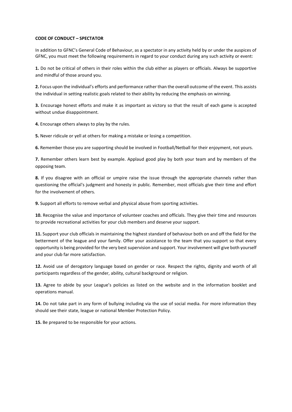### **CODE OF CONDUCT – SPECTATOR**

In addition to GFNC's General Code of Behaviour, as a spectator in any activity held by or under the auspices of GFNC, you must meet the following requirements in regard to your conduct during any such activity or event:

**1.** Do not be critical of others in their roles within the club either as players or officials. Always be supportive and mindful of those around you.

**2.** Focus upon the individual's efforts and performance rather than the overall outcome of the event. This assists the individual in setting realistic goals related to their ability by reducing the emphasis on winning.

**3.** Encourage honest efforts and make it as important as victory so that the result of each game is accepted without undue disappointment.

**4.** Encourage others always to play by the rules.

**5.** Never ridicule or yell at others for making a mistake or losing a competition.

**6.** Remember those you are supporting should be involved in Football/Netball for their enjoyment, not yours.

**7.** Remember others learn best by example. Applaud good play by both your team and by members of the opposing team.

**8.** If you disagree with an official or umpire raise the issue through the appropriate channels rather than questioning the official's judgment and honesty in public. Remember, most officials give their time and effort for the involvement of others.

**9.** Support all efforts to remove verbal and physical abuse from sporting activities.

**10.** Recognise the value and importance of volunteer coaches and officials. They give their time and resources to provide recreational activities for your club members and deserve your support.

**11.** Support your club officials in maintaining the highest standard of behaviour both on and off the field for the betterment of the league and your family. Offer your assistance to the team that you support so that every opportunity is being provided for the very best supervision and support. Your involvement will give both yourself and your club far more satisfaction.

**12.** Avoid use of derogatory language based on gender or race. Respect the rights, dignity and worth of all participants regardless of the gender, ability, cultural background or religion.

**13.** Agree to abide by your League's policies as listed on the website and in the information booklet and operations manual.

**14.** Do not take part in any form of bullying including via the use of social media. For more information they should see their state, league or national Member Protection Policy.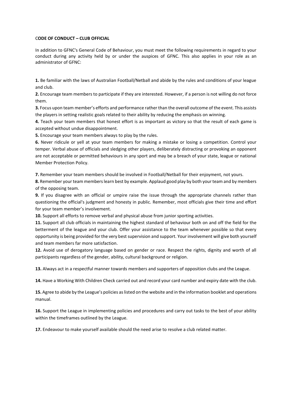### C**ODE OF CONDUCT – CLUB OFFICIAL**

In addition to GFNC's General Code of Behaviour, you must meet the following requirements in regard to your conduct during any activity held by or under the auspices of GFNC. This also applies in your role as an administrator of GFNC:

**1.** Be familiar with the laws of Australian Football/Netball and abide by the rules and conditions of your league and club.

**2.** Encourage team members to participate if they are interested. However, if a person is not willing do not force them.

**3.** Focus upon team member's efforts and performance rather than the overall outcome of the event. This assists the players in setting realistic goals related to their ability by reducing the emphasis on winning.

**4.** Teach your team members that honest effort is as important as victory so that the result of each game is accepted without undue disappointment.

**5.** Encourage your team members always to play by the rules.

**6.** Never ridicule or yell at your team members for making a mistake or losing a competition. Control your temper. Verbal abuse of officials and sledging other players, deliberately distracting or provoking an opponent are not acceptable or permitted behaviours in any sport and may be a breach of your state, league or national Member Protection Policy.

**7.** Remember your team members should be involved in Football/Netball for their enjoyment, not yours.

**8.** Remember your team members learn best by example. Applaud good play by both your team and by members of the opposing team.

**9.** If you disagree with an official or umpire raise the issue through the appropriate channels rather than questioning the official's judgment and honesty in public. Remember, most officials give their time and effort for your team member's involvement.

**10.** Support all efforts to remove verbal and physical abuse from junior sporting activities.

**11.** Support all club officials in maintaining the highest standard of behaviour both on and off the field for the betterment of the league and your club. Offer your assistance to the team whenever possible so that every opportunity is being provided for the very best supervision and support. Your involvement will give both yourself and team members far more satisfaction.

**12.** Avoid use of derogatory language based on gender or race. Respect the rights, dignity and worth of all participants regardless of the gender, ability, cultural background or religion.

**13.** Always act in a respectful manner towards members and supporters of opposition clubs and the League.

**14.** Have a Working With Children Check carried out and record your card number and expiry date with the club.

**15.** Agree to abide by the League's policies as listed on the website and in the information booklet and operations manual.

**16.** Support the League in implementing policies and procedures and carry out tasks to the best of your ability within the timeframes outlined by the League.

**17.** Endeavour to make yourself available should the need arise to resolve a club related matter.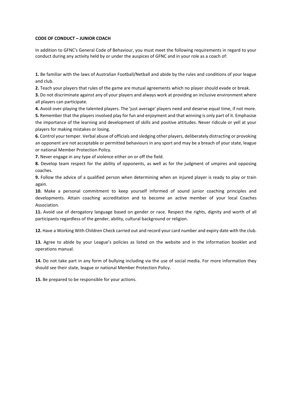# **CODE OF CONDUCT – JUNIOR COACH**

In addition to GFNC's General Code of Behaviour, you must meet the following requirements in regard to your conduct during any activity held by or under the auspices of GFNC and in your role as a coach of:

**1.** Be familiar with the laws of Australian Football/Netball and abide by the rules and conditions of your league and club.

**2.** Teach your players that rules of the game are mutual agreements which no player should evade or break.

**3.** Do not discriminate against any of your players and always work at providing an inclusive environment where all players can participate.

**4.** Avoid over-playing the talented players. The 'just average' players need and deserve equal time, if not more. **5.** Remember that the players involved play for fun and enjoyment and that winning is only part of it. Emphasise the importance of the learning and development of skills and positive attitudes. Never ridicule or yell at your players for making mistakes or losing.

**6.** Control your temper. Verbal abuse of officials and sledging other players, deliberately distracting or provoking an opponent are not acceptable or permitted behaviours in any sport and may be a breach of your state, league or national Member Protection Policy.

**7.** Never engage in any type of violence either on or off the field.

**8.** Develop team respect for the ability of opponents, as well as for the judgment of umpires and opposing coaches.

**9.** Follow the advice of a qualified person when determining when an injured player is ready to play or train again.

**10.** Make a personal commitment to keep yourself informed of sound junior coaching principles and developments. Attain coaching accreditation and to become an active member of your local Coaches Association.

**11.** Avoid use of derogatory language based on gender or race. Respect the rights, dignity and worth of all participants regardless of the gender, ability, cultural background or religion.

**12.** Have a Working With Children Check carried out and record your card number and expiry date with the club.

**13.** Agree to abide by your League's policies as listed on the website and in the information booklet and operations manual.

**14.** Do not take part in any form of bullying including via the use of social media. For more information they should see their state, league or national Member Protection Policy.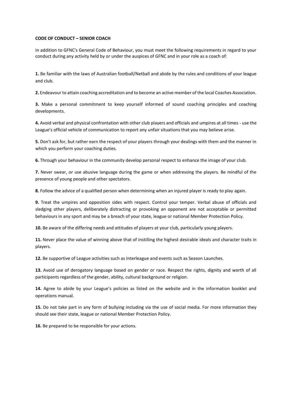### **CODE OF CONDUCT – SENIOR COACH**

In addition to GFNC's General Code of Behaviour, you must meet the following requirements in regard to your conduct during any activity held by or under the auspices of GFNC and in your role as a coach of:

**1.** Be familiar with the laws of Australian football/Netball and abide by the rules and conditions of your league and club.

**2.** Endeavour to attain coaching accreditation and to become an active member of the local Coaches Association.

**3.** Make a personal commitment to keep yourself informed of sound coaching principles and coaching developments.

**4.** Avoid verbal and physical confrontation with other club players and officials and umpires at all times - use the League's official vehicle of communication to report any unfair situations that you may believe arise.

**5.** Don't ask for, but rather earn the respect of your players through your dealings with them and the manner in which you perform your coaching duties.

**6.** Through your behaviour in the community develop personal respect to enhance the image of your club.

**7.** Never swear, or use abusive language during the game or when addressing the players. Be mindful of the presence of young people and other spectators.

**8.** Follow the advice of a qualified person when determining when an injured player is ready to play again.

**9.** Treat the umpires and opposition sides with respect. Control your temper. Verbal abuse of officials and sledging other players, deliberately distracting or provoking an opponent are not acceptable or permitted behaviours in any sport and may be a breach of your state, league or national Member Protection Policy.

**10.** Be aware of the differing needs and attitudes of players at your club, particularly young players.

**11.** Never place the value of winning above that of instilling the highest desirable ideals and character traits in players.

**12.** Be supportive of League activities such as Interleague and events such as Season Launches.

**13.** Avoid use of derogatory language based on gender or race. Respect the rights, dignity and worth of all participants regardless of the gender, ability, cultural background or religion.

**14.** Agree to abide by your League's policies as listed on the website and in the information booklet and operations manual.

**15.** Do not take part in any form of bullying including via the use of social media. For more information they should see their state, league or national Member Protection Policy.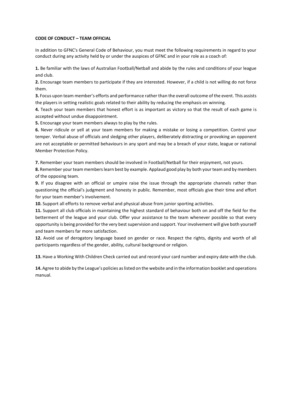### **CODE OF CONDUCT – TEAM OFFICIAL**

In addition to GFNC's General Code of Behaviour, you must meet the following requirements in regard to your conduct during any activity held by or under the auspices of GFNC and in your role as a coach of:

**1.** Be familiar with the laws of Australian Football/Netball and abide by the rules and conditions of your league and club.

**2.** Encourage team members to participate if they are interested. However, if a child is not willing do not force them.

**3.** Focus upon team member's efforts and performance rather than the overall outcome of the event. This assists the players in setting realistic goals related to their ability by reducing the emphasis on winning.

**4.** Teach your team members that honest effort is as important as victory so that the result of each game is accepted without undue disappointment.

**5.** Encourage your team members always to play by the rules.

**6.** Never ridicule or yell at your team members for making a mistake or losing a competition. Control your temper. Verbal abuse of officials and sledging other players, deliberately distracting or provoking an opponent are not acceptable or permitted behaviours in any sport and may be a breach of your state, league or national Member Protection Policy.

**7.** Remember your team members should be involved in Football/Netball for their enjoyment, not yours.

**8.** Remember your team members learn best by example. Applaud good play by both your team and by members of the opposing team.

**9.** If you disagree with an official or umpire raise the issue through the appropriate channels rather than questioning the official's judgment and honesty in public. Remember, most officials give their time and effort for your team member's involvement.

**10.** Support all efforts to remove verbal and physical abuse from junior sporting activities.

**11.** Support all club officials in maintaining the highest standard of behaviour both on and off the field for the betterment of the league and your club. Offer your assistance to the team whenever possible so that every opportunity is being provided for the very best supervision and support. Your involvement will give both yourself and team members far more satisfaction.

**12.** Avoid use of derogatory language based on gender or race. Respect the rights, dignity and worth of all participants regardless of the gender, ability, cultural background or religion.

**13.** Have a Working With Children Check carried out and record your card number and expiry date with the club.

**14.** Agree to abide by the League's policies as listed on the website and in the information booklet and operations manual.